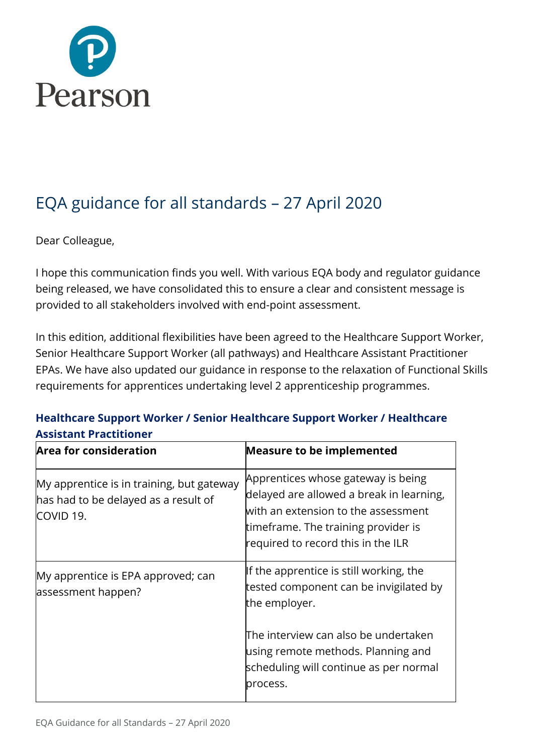

# EQA guidance for all standards – 27 April 2020

Dear Colleague,

I hope this communication finds you well. With various EQA body and regulator guidance being released, we have consolidated this to ensure a clear and consistent message is provided to all stakeholders involved with end-point assessment.

In this edition, additional flexibilities have been agreed to the Healthcare Support Worker, Senior Healthcare Support Worker (all pathways) and Healthcare Assistant Practitioner EPAs. We have also updated our guidance in response to the relaxation of Functional Skills requirements for apprentices undertaking level 2 apprenticeship programmes.

### **Healthcare Support Worker / Senior Healthcare Support Worker / Healthcare Assistant Practitioner**

| <b>Area for consideration</b>                                                                  | <b>Measure to be implemented</b>                                                                                                                                                                   |
|------------------------------------------------------------------------------------------------|----------------------------------------------------------------------------------------------------------------------------------------------------------------------------------------------------|
| My apprentice is in training, but gateway<br>has had to be delayed as a result of<br>COVID 19. | Apprentices whose gateway is being<br>delayed are allowed a break in learning,<br>with an extension to the assessment<br>timeframe. The training provider is<br>required to record this in the ILR |
| My apprentice is EPA approved; can<br>assessment happen?                                       | If the apprentice is still working, the<br>tested component can be invigilated by<br>the employer.<br>The interview can also be undertaken                                                         |
|                                                                                                | using remote methods. Planning and<br>scheduling will continue as per normal<br>process.                                                                                                           |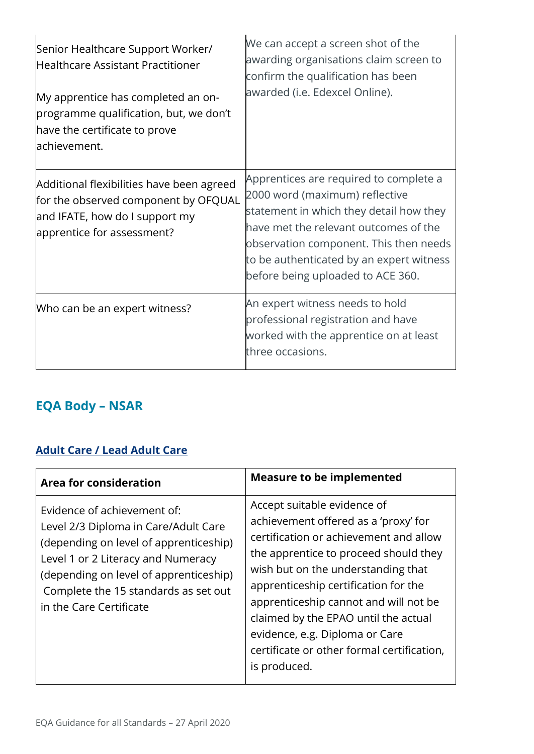| Senior Healthcare Support Worker/<br>Healthcare Assistant Practitioner<br>My apprentice has completed an on-<br>programme qualification, but, we don't<br>have the certificate to prove<br>achievement. | We can accept a screen shot of the<br>awarding organisations claim screen to<br>confirm the qualification has been<br>awarded (i.e. Edexcel Online).                                                                                                                                    |
|---------------------------------------------------------------------------------------------------------------------------------------------------------------------------------------------------------|-----------------------------------------------------------------------------------------------------------------------------------------------------------------------------------------------------------------------------------------------------------------------------------------|
| Additional flexibilities have been agreed<br>for the observed component by OFQUAL<br>and IFATE, how do I support my<br>apprentice for assessment?                                                       | Apprentices are required to complete a<br>2000 word (maximum) reflective<br>statement in which they detail how they<br>have met the relevant outcomes of the<br>observation component. This then needs<br>to be authenticated by an expert witness<br>before being uploaded to ACE 360. |
| Who can be an expert witness?                                                                                                                                                                           | An expert witness needs to hold<br>professional registration and have<br>worked with the apprentice on at least<br>three occasions.                                                                                                                                                     |

## **EQA Body – NSAR**

#### **[Adult Care / Lead Adult Care](https://www.nsar.co.uk/wp-content/uploads/2020/03/NSAR-EQA-Guidance-Note-Adult-Care-Adaptations_Covid-19.pdf)**

| Area for consideration                                                                                                                                                                                                                                           | <b>Measure to be implemented</b>                                                                                                                                                                                                                                                                                                                                                                                      |
|------------------------------------------------------------------------------------------------------------------------------------------------------------------------------------------------------------------------------------------------------------------|-----------------------------------------------------------------------------------------------------------------------------------------------------------------------------------------------------------------------------------------------------------------------------------------------------------------------------------------------------------------------------------------------------------------------|
| Evidence of achievement of:<br>Level 2/3 Diploma in Care/Adult Care<br>(depending on level of apprenticeship)<br>Level 1 or 2 Literacy and Numeracy<br>(depending on level of apprenticeship)<br>Complete the 15 standards as set out<br>in the Care Certificate | Accept suitable evidence of<br>achievement offered as a 'proxy' for<br>certification or achievement and allow<br>the apprentice to proceed should they<br>wish but on the understanding that<br>apprenticeship certification for the<br>apprenticeship cannot and will not be<br>claimed by the EPAO until the actual<br>evidence, e.g. Diploma or Care<br>certificate or other formal certification,<br>is produced. |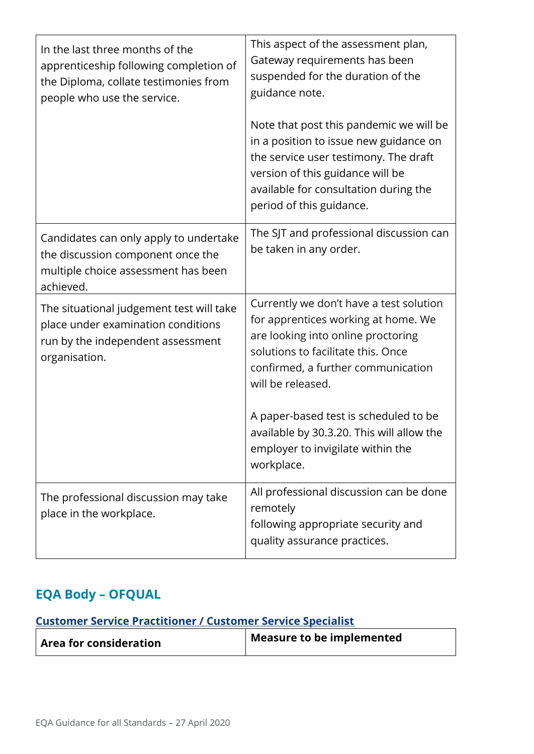| In the last three months of the<br>apprenticeship following completion of<br>the Diploma, collate testimonies from<br>people who use the service. | This aspect of the assessment plan,<br>Gateway requirements has been<br>suspended for the duration of the<br>guidance note.<br>Note that post this pandemic we will be<br>in a position to issue new guidance on<br>the service user testimony. The draft<br>version of this guidance will be<br>available for consultation during the<br>period of this guidance. |
|---------------------------------------------------------------------------------------------------------------------------------------------------|--------------------------------------------------------------------------------------------------------------------------------------------------------------------------------------------------------------------------------------------------------------------------------------------------------------------------------------------------------------------|
| Candidates can only apply to undertake<br>the discussion component once the<br>multiple choice assessment has been<br>achieved.                   | The SJT and professional discussion can<br>be taken in any order.                                                                                                                                                                                                                                                                                                  |
| The situational judgement test will take<br>place under examination conditions<br>run by the independent assessment<br>organisation.              | Currently we don't have a test solution<br>for apprentices working at home. We<br>are looking into online proctoring<br>solutions to facilitate this. Once<br>confirmed, a further communication<br>will be released.<br>A paper-based test is scheduled to be<br>available by 30.3.20. This will allow the                                                        |
|                                                                                                                                                   | employer to invigilate within the<br>workplace.                                                                                                                                                                                                                                                                                                                    |
| The professional discussion may take<br>place in the workplace.                                                                                   | All professional discussion can be done<br>remotely<br>following appropriate security and<br>quality assurance practices.                                                                                                                                                                                                                                          |

## **EQA Body – OFQUAL**

## **[Customer Service Practitioner / Customer Service Specialist](https://www.gov.uk/government/publications/coronavirus-covid-19-apprenticeship-programme-response/coronavirus-covid-19-guidance-for-apprentices-employers-training-providers-end-point-assessment-organisations-and-external-quality-assurance-pro)**

| <b>Area for consideration</b> | Measure to be implemented |
|-------------------------------|---------------------------|
|-------------------------------|---------------------------|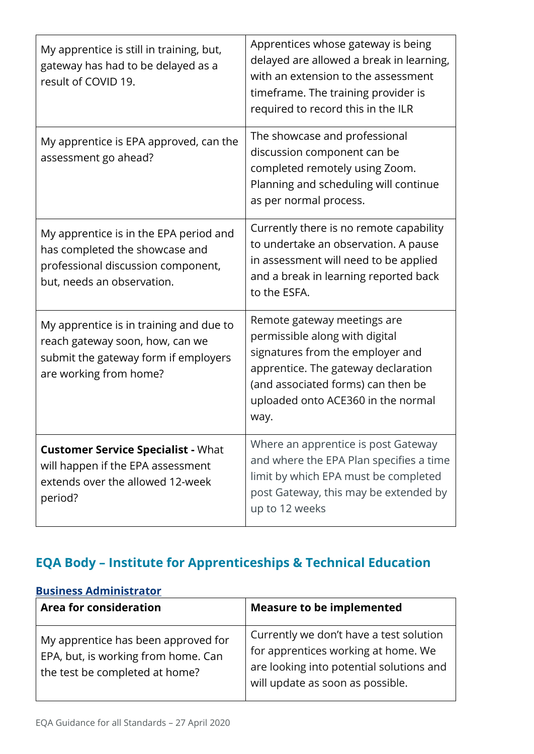| My apprentice is still in training, but,<br>gateway has had to be delayed as a<br>result of COVID 19.                                        | Apprentices whose gateway is being<br>delayed are allowed a break in learning,<br>with an extension to the assessment<br>timeframe. The training provider is<br>required to record this in the ILR                           |
|----------------------------------------------------------------------------------------------------------------------------------------------|------------------------------------------------------------------------------------------------------------------------------------------------------------------------------------------------------------------------------|
| My apprentice is EPA approved, can the<br>assessment go ahead?                                                                               | The showcase and professional<br>discussion component can be<br>completed remotely using Zoom.<br>Planning and scheduling will continue<br>as per normal process.                                                            |
| My apprentice is in the EPA period and<br>has completed the showcase and<br>professional discussion component,<br>but, needs an observation. | Currently there is no remote capability<br>to undertake an observation. A pause<br>in assessment will need to be applied<br>and a break in learning reported back<br>to the ESFA.                                            |
| My apprentice is in training and due to<br>reach gateway soon, how, can we<br>submit the gateway form if employers<br>are working from home? | Remote gateway meetings are<br>permissible along with digital<br>signatures from the employer and<br>apprentice. The gateway declaration<br>(and associated forms) can then be<br>uploaded onto ACE360 in the normal<br>way. |
| <b>Customer Service Specialist - What</b><br>will happen if the EPA assessment<br>extends over the allowed 12-week<br>period?                | Where an apprentice is post Gateway<br>and where the EPA Plan specifies a time<br>limit by which EPA must be completed<br>post Gateway, this may be extended by<br>up to 12 weeks                                            |

# **EQA Body – Institute for Apprenticeships & Technical Education**

#### **[Business Administrator](https://www.instituteforapprenticeships.org/response-to-covid-19/)**

| <b>Area for consideration</b>                                                                                | <b>Measure to be implemented</b>                                                                                                                               |
|--------------------------------------------------------------------------------------------------------------|----------------------------------------------------------------------------------------------------------------------------------------------------------------|
| My apprentice has been approved for<br>EPA, but, is working from home. Can<br>the test be completed at home? | Currently we don't have a test solution<br>for apprentices working at home. We<br>are looking into potential solutions and<br>will update as soon as possible. |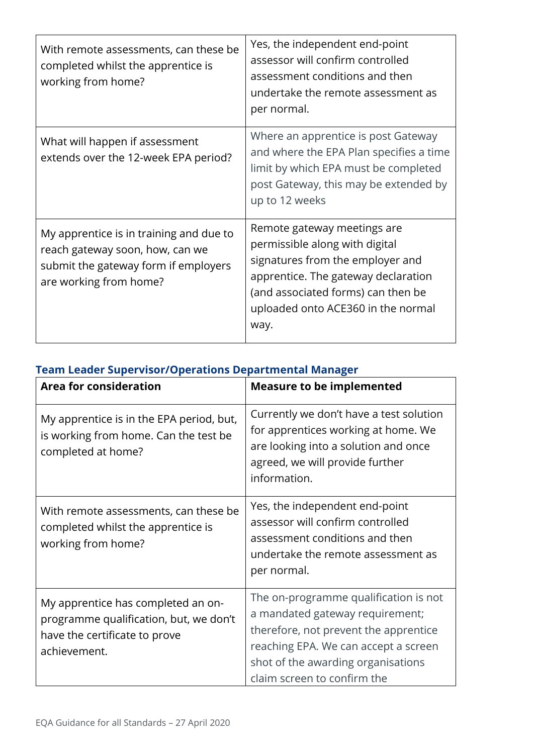| With remote assessments, can these be<br>completed whilst the apprentice is<br>working from home?                                            | Yes, the independent end-point<br>assessor will confirm controlled<br>assessment conditions and then<br>undertake the remote assessment as<br>per normal.                                                                    |
|----------------------------------------------------------------------------------------------------------------------------------------------|------------------------------------------------------------------------------------------------------------------------------------------------------------------------------------------------------------------------------|
| What will happen if assessment<br>extends over the 12-week EPA period?                                                                       | Where an apprentice is post Gateway<br>and where the EPA Plan specifies a time<br>limit by which EPA must be completed<br>post Gateway, this may be extended by<br>up to 12 weeks                                            |
| My apprentice is in training and due to<br>reach gateway soon, how, can we<br>submit the gateway form if employers<br>are working from home? | Remote gateway meetings are<br>permissible along with digital<br>signatures from the employer and<br>apprentice. The gateway declaration<br>(and associated forms) can then be<br>uploaded onto ACE360 in the normal<br>way. |

|  | <b>Team Leader Supervisor/Operations Departmental Manager</b> |  |
|--|---------------------------------------------------------------|--|
|  |                                                               |  |

| <b>Area for consideration</b>                                                                                                 | <b>Measure to be implemented</b>                                                                                                                                                                                               |
|-------------------------------------------------------------------------------------------------------------------------------|--------------------------------------------------------------------------------------------------------------------------------------------------------------------------------------------------------------------------------|
| My apprentice is in the EPA period, but,<br>is working from home. Can the test be<br>completed at home?                       | Currently we don't have a test solution<br>for apprentices working at home. We<br>are looking into a solution and once<br>agreed, we will provide further<br>information.                                                      |
| With remote assessments, can these be<br>completed whilst the apprentice is<br>working from home?                             | Yes, the independent end-point<br>assessor will confirm controlled<br>assessment conditions and then<br>undertake the remote assessment as<br>per normal.                                                                      |
| My apprentice has completed an on-<br>programme qualification, but, we don't<br>have the certificate to prove<br>achievement. | The on-programme qualification is not<br>a mandated gateway requirement;<br>therefore, not prevent the apprentice<br>reaching EPA. We can accept a screen<br>shot of the awarding organisations<br>claim screen to confirm the |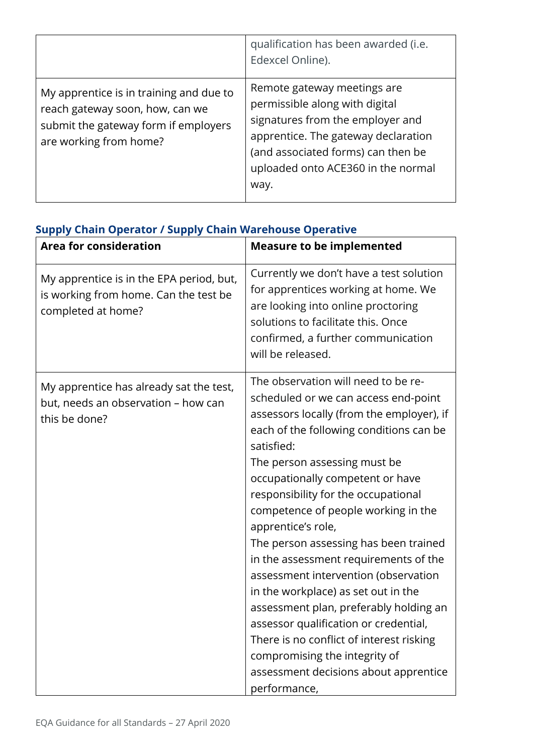|                                                                                                                                              | qualification has been awarded (i.e.<br>Edexcel Online).                                                                                                                                                                     |
|----------------------------------------------------------------------------------------------------------------------------------------------|------------------------------------------------------------------------------------------------------------------------------------------------------------------------------------------------------------------------------|
| My apprentice is in training and due to<br>reach gateway soon, how, can we<br>submit the gateway form if employers<br>are working from home? | Remote gateway meetings are<br>permissible along with digital<br>signatures from the employer and<br>apprentice. The gateway declaration<br>(and associated forms) can then be<br>uploaded onto ACE360 in the normal<br>way. |

| oupply Chain Operator / Supply Chain warehouse Operative<br><b>Area for consideration</b>               | <b>Measure to be implemented</b>                                                                                                                                                                                                                                                                                                                                                                                                                                                                                                                                                                                                                                                                                                                    |
|---------------------------------------------------------------------------------------------------------|-----------------------------------------------------------------------------------------------------------------------------------------------------------------------------------------------------------------------------------------------------------------------------------------------------------------------------------------------------------------------------------------------------------------------------------------------------------------------------------------------------------------------------------------------------------------------------------------------------------------------------------------------------------------------------------------------------------------------------------------------------|
| My apprentice is in the EPA period, but,<br>is working from home. Can the test be<br>completed at home? | Currently we don't have a test solution<br>for apprentices working at home. We<br>are looking into online proctoring<br>solutions to facilitate this. Once<br>confirmed, a further communication<br>will be released.                                                                                                                                                                                                                                                                                                                                                                                                                                                                                                                               |
| My apprentice has already sat the test,<br>but, needs an observation - how can<br>this be done?         | The observation will need to be re-<br>scheduled or we can access end-point<br>assessors locally (from the employer), if<br>each of the following conditions can be<br>satisfied:<br>The person assessing must be<br>occupationally competent or have<br>responsibility for the occupational<br>competence of people working in the<br>apprentice's role,<br>The person assessing has been trained<br>in the assessment requirements of the<br>assessment intervention (observation<br>in the workplace) as set out in the<br>assessment plan, preferably holding an<br>assessor qualification or credential,<br>There is no conflict of interest risking<br>compromising the integrity of<br>assessment decisions about apprentice<br>performance, |

#### **Supply Chain Operator / Supply Chain Warehouse Operative**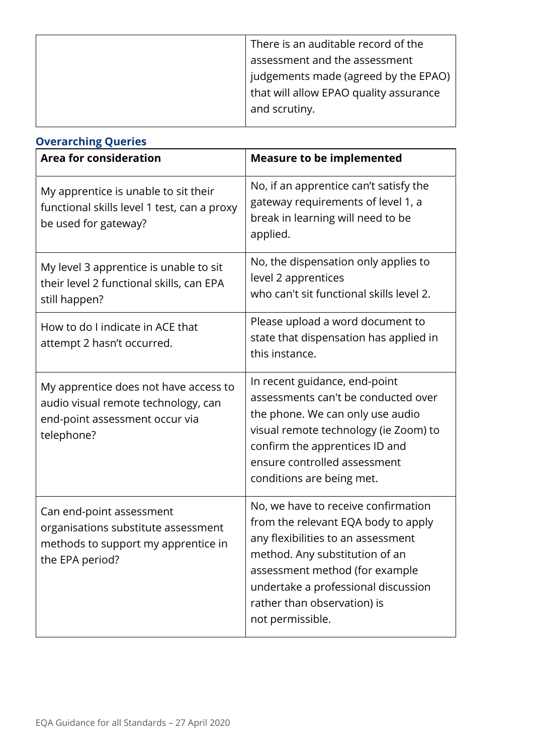| There is an auditable record of the    |
|----------------------------------------|
| assessment and the assessment          |
| judgements made (agreed by the EPAO)   |
| that will allow EPAO quality assurance |
| and scrutiny.                          |
|                                        |

| <b>Overarching Queries</b>                                                                                                   |                                                                                                                                                                                                                                                                                |
|------------------------------------------------------------------------------------------------------------------------------|--------------------------------------------------------------------------------------------------------------------------------------------------------------------------------------------------------------------------------------------------------------------------------|
| <b>Area for consideration</b>                                                                                                | <b>Measure to be implemented</b>                                                                                                                                                                                                                                               |
| My apprentice is unable to sit their<br>functional skills level 1 test, can a proxy<br>be used for gateway?                  | No, if an apprentice can't satisfy the<br>gateway requirements of level 1, a<br>break in learning will need to be<br>applied.                                                                                                                                                  |
| My level 3 apprentice is unable to sit<br>their level 2 functional skills, can EPA<br>still happen?                          | No, the dispensation only applies to<br>level 2 apprentices<br>who can't sit functional skills level 2.                                                                                                                                                                        |
| How to do I indicate in ACE that<br>attempt 2 hasn't occurred.                                                               | Please upload a word document to<br>state that dispensation has applied in<br>this instance.                                                                                                                                                                                   |
| My apprentice does not have access to<br>audio visual remote technology, can<br>end-point assessment occur via<br>telephone? | In recent guidance, end-point<br>assessments can't be conducted over<br>the phone. We can only use audio<br>visual remote technology (ie Zoom) to<br>confirm the apprentices ID and<br>ensure controlled assessment<br>conditions are being met.                               |
| Can end-point assessment<br>organisations substitute assessment<br>methods to support my apprentice in<br>the EPA period?    | No, we have to receive confirmation<br>from the relevant EQA body to apply<br>any flexibilities to an assessment<br>method. Any substitution of an<br>assessment method (for example<br>undertake a professional discussion<br>rather than observation) is<br>not permissible. |